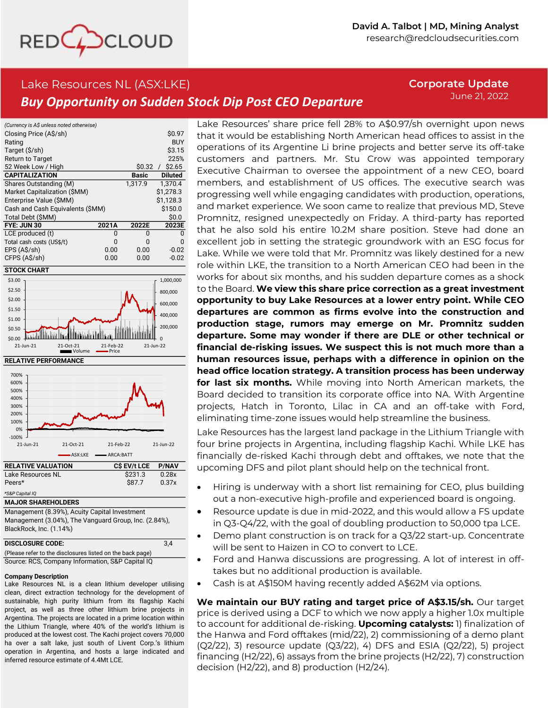

# Lake Resources NL (ASX:LKE) *Buy Opportunity on Sudden Stock Dip Post CEO Departure*

**Corporate Update** June 21, 2022

| (Currency is A\$ unless noted otherwise) |       |         |                |
|------------------------------------------|-------|---------|----------------|
| Closing Price (A\$/sh)                   |       |         | \$0.97         |
| Rating                                   |       |         | <b>BUY</b>     |
| Target (\$/sh)                           |       |         | \$3.15         |
| <b>Return to Target</b>                  |       |         | 225%           |
| 52 Week Low / High                       |       | \$0.32  | \$2.65         |
| <b>CAPITALIZATION</b>                    |       | Basic   | <b>Diluted</b> |
| Shares Outstanding (M)                   |       | 1.317.9 | 1.370.4        |
| Market Capitalization (\$MM)             |       |         | \$1.278.3      |
| Enterprise Value (\$MM)                  |       |         | \$1.128.3      |
| Cash and Cash Equivalents (\$MM)         |       |         | \$150.0        |
| Total Debt (\$MM)                        |       |         | \$0.0          |
| FYE: JUN 30                              | 2021A | 2022E   | 2023E          |
| LCE produced (t)                         | ŋ     | n       |                |
| Total cash costs (US\$/t)                | O     | n       | n              |
| EPS (A\$/sh)                             | 0.00  | 0.00    | $-0.02$        |
| CFPS (A\$/sh)                            | 0.00  | 0.00    | $-0.02$        |







Management (8.39%), Acuity Capital Investment Management (3.04%), The Vanguard Group, Inc. (2.84%), BlackRock, Inc. (1.14%)

| <b>DISCLOSURE CODE:</b> |  |
|-------------------------|--|
| $\sqrt{2}$              |  |

(Please refer to the disclosures listed on the back page) Source: RCS, Company Information, S&P Capital IQ

### **Company Description**

Lake Resources NL is <sup>a</sup> clean lithium developer utilising clean, direct extraction technology for the development of sustainable, high purity lithium from its flagship Kachi project, as well as three other lithium brine projects in Argentina. The projects are located in <sup>a</sup> prime location within the Lithium Triangle, where 40% of the world's lithium is produced at the lowest cost. The Kachi project covers 70,000 ha over <sup>a</sup> salt lake, just south of Livent Corp.'s lithium operation in Argentina, and hosts <sup>a</sup> large indicated and inferred resource estimate of 4.4Mt LCE.

Lake Resources' share price fell 28% to A\$0.97/sh overnight upon news that it would be establishing North American head offices to assist in the operations of its Argentine Li brine projects and better serve its off-take customers and partners. Mr. Stu Crow was appointed temporary Executive Chairman to oversee the appointment of a new CEO, board members, and establishment of US offices. The executive search was progressing well while engaging candidates with production, operations, and market experience. We soon came to realize that previous MD, Steve Promnitz, resigned unexpectedly on Friday. A third-party has reported that he also sold his entire 10.2M share position. Steve had done an excellent job in setting the strategic groundwork with an ESG focus for Lake. While we were told that Mr. Promnitz was likely destined for a new role within LKE, the transition to a North American CEO had been in the works for about six months, and his sudden departure comes as a shock to the Board. **We view this share price correction as a great investment opportunity to buy Lake Resources at a lower entry point. While CEO departures are common as firms evolve into the construction and production stage, rumors may emerge on Mr. Promnitz sudden departure. Some may wonder if there are DLE or other technical or financial de-risking issues. We suspect this is not much more than a human resources issue, perhaps with a difference in opinion on the head office location strategy. A transition process has been underway for last six months.** While moving into North American markets, the Board decided to transition its corporate office into NA. With Argentine projects, Hatch in Toronto, Lilac in CA and an off-take with Ford, eliminating time-zone issues would help streamline the business.

Lake Resources has the largest land package in the Lithium Triangle with four brine projects in Argentina, including flagship Kachi. While LKE has financially de-risked Kachi through debt and offtakes, we note that the upcoming DFS and pilot plant should help on the technical front.

- Hiring is underway with a short list remaining for CEO, plus building out a non-executive high-profile and experienced board is ongoing.
- Resource update is due in mid-2022, and this would allow a FS update in Q3-Q4/22, with the goal of doubling production to 50,000 tpa LCE.
- Demo plant construction is on track for a Q3/22 start-up. Concentrate will be sent to Haizen in CO to convert to LCE.
- Ford and Hanwa discussions are progressing. A lot of interest in offtakes but no additional production is available.
- Cash is at A\$150M having recently added A\$62M via options.

**We maintain our BUY rating and target price of A\$3.15/sh.** Our target price is derived using a DCF to which we now apply a higher 1.0x multiple to account for additional de-risking. **Upcoming catalysts:** 1) finalization of the Hanwa and Ford offtakes (mid/22), 2) commissioning of a demo plant  $(Q2/22)$ , 3) resource update  $(Q3/22)$ , 4) DFS and ESIA  $(Q2/22)$ , 5) project financing (H2/22), 6) assays from the brine projects (H2/22), 7) construction decision (H2/22), and 8) production (H2/24).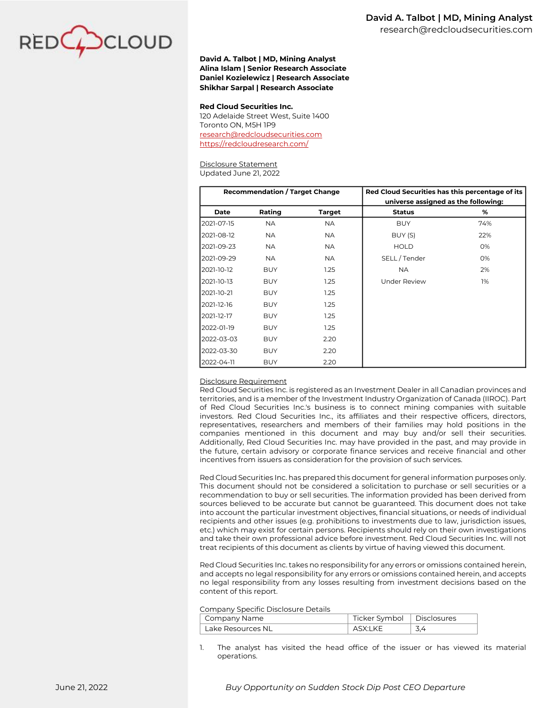

#### **David A. Talbot | MD, Mining Analyst Alina Islam | Senior Research Associate Daniel Kozielewicz | Research Associate Shikhar Sarpal | Research Associate**

#### **Red Cloud Securities Inc.**

120 Adelaide Street West, Suite 1400 Toronto ON, M5H 1P9 [research@redcloudsecurities.com](mailto:research@redcloudsecurities.com) <https://redcloudresearch.com/>

#### Disclosure Statement

Updated June 21, 2022

|                                                                                                                                                                                                                                                                                                                                                                                                                                                                                                                                                                                                                                                                                                                                                                                                                                                                                                                                                                                                                                                                                                                                                                                                                                                                                                                                    | <b>Recommendation / Target Change</b> |                                                                                  |                                     | Red Cloud Securities has this percentage of its |     |  |
|------------------------------------------------------------------------------------------------------------------------------------------------------------------------------------------------------------------------------------------------------------------------------------------------------------------------------------------------------------------------------------------------------------------------------------------------------------------------------------------------------------------------------------------------------------------------------------------------------------------------------------------------------------------------------------------------------------------------------------------------------------------------------------------------------------------------------------------------------------------------------------------------------------------------------------------------------------------------------------------------------------------------------------------------------------------------------------------------------------------------------------------------------------------------------------------------------------------------------------------------------------------------------------------------------------------------------------|---------------------------------------|----------------------------------------------------------------------------------|-------------------------------------|-------------------------------------------------|-----|--|
|                                                                                                                                                                                                                                                                                                                                                                                                                                                                                                                                                                                                                                                                                                                                                                                                                                                                                                                                                                                                                                                                                                                                                                                                                                                                                                                                    |                                       |                                                                                  | universe assigned as the following: |                                                 |     |  |
| Date                                                                                                                                                                                                                                                                                                                                                                                                                                                                                                                                                                                                                                                                                                                                                                                                                                                                                                                                                                                                                                                                                                                                                                                                                                                                                                                               | Rating                                | <b>Target</b>                                                                    | <b>Status</b>                       |                                                 | %   |  |
| 2021-07-15                                                                                                                                                                                                                                                                                                                                                                                                                                                                                                                                                                                                                                                                                                                                                                                                                                                                                                                                                                                                                                                                                                                                                                                                                                                                                                                         | <b>NA</b>                             | <b>NA</b>                                                                        | <b>BUY</b>                          |                                                 | 74% |  |
| 2021-08-12                                                                                                                                                                                                                                                                                                                                                                                                                                                                                                                                                                                                                                                                                                                                                                                                                                                                                                                                                                                                                                                                                                                                                                                                                                                                                                                         | <b>NA</b>                             | <b>NA</b>                                                                        | BUY (S)                             |                                                 | 22% |  |
| 2021-09-23                                                                                                                                                                                                                                                                                                                                                                                                                                                                                                                                                                                                                                                                                                                                                                                                                                                                                                                                                                                                                                                                                                                                                                                                                                                                                                                         | <b>NA</b>                             | <b>NA</b>                                                                        | <b>HOLD</b>                         |                                                 | 0%  |  |
| 2021-09-29                                                                                                                                                                                                                                                                                                                                                                                                                                                                                                                                                                                                                                                                                                                                                                                                                                                                                                                                                                                                                                                                                                                                                                                                                                                                                                                         | <b>NA</b>                             | <b>NA</b>                                                                        | SELL/Tender                         |                                                 | 0%  |  |
| 2021-10-12                                                                                                                                                                                                                                                                                                                                                                                                                                                                                                                                                                                                                                                                                                                                                                                                                                                                                                                                                                                                                                                                                                                                                                                                                                                                                                                         | <b>BUY</b>                            | 1.25                                                                             | <b>NA</b>                           |                                                 | 2%  |  |
| 2021-10-13                                                                                                                                                                                                                                                                                                                                                                                                                                                                                                                                                                                                                                                                                                                                                                                                                                                                                                                                                                                                                                                                                                                                                                                                                                                                                                                         | <b>BUY</b>                            | 1.25                                                                             | <b>Under Review</b>                 |                                                 | 1%  |  |
| 2021-10-21                                                                                                                                                                                                                                                                                                                                                                                                                                                                                                                                                                                                                                                                                                                                                                                                                                                                                                                                                                                                                                                                                                                                                                                                                                                                                                                         | <b>BUY</b>                            | 1.25                                                                             |                                     |                                                 |     |  |
| 2021-12-16                                                                                                                                                                                                                                                                                                                                                                                                                                                                                                                                                                                                                                                                                                                                                                                                                                                                                                                                                                                                                                                                                                                                                                                                                                                                                                                         | <b>BUY</b>                            | 1.25                                                                             |                                     |                                                 |     |  |
| 2021-12-17                                                                                                                                                                                                                                                                                                                                                                                                                                                                                                                                                                                                                                                                                                                                                                                                                                                                                                                                                                                                                                                                                                                                                                                                                                                                                                                         | <b>BUY</b>                            | 1.25                                                                             |                                     |                                                 |     |  |
| 2022-01-19                                                                                                                                                                                                                                                                                                                                                                                                                                                                                                                                                                                                                                                                                                                                                                                                                                                                                                                                                                                                                                                                                                                                                                                                                                                                                                                         | <b>BUY</b>                            | 1.25                                                                             |                                     |                                                 |     |  |
| 2022-03-03                                                                                                                                                                                                                                                                                                                                                                                                                                                                                                                                                                                                                                                                                                                                                                                                                                                                                                                                                                                                                                                                                                                                                                                                                                                                                                                         | <b>BUY</b>                            | 2.20                                                                             |                                     |                                                 |     |  |
| 2022-03-30                                                                                                                                                                                                                                                                                                                                                                                                                                                                                                                                                                                                                                                                                                                                                                                                                                                                                                                                                                                                                                                                                                                                                                                                                                                                                                                         | <b>BUY</b>                            | 2.20                                                                             |                                     |                                                 |     |  |
| 2022-04-11                                                                                                                                                                                                                                                                                                                                                                                                                                                                                                                                                                                                                                                                                                                                                                                                                                                                                                                                                                                                                                                                                                                                                                                                                                                                                                                         | BUY                                   | 2.20                                                                             |                                     |                                                 |     |  |
| representatives, researchers and members of their families may hold positions in the<br>companies mentioned in this document and may buy and/or sell their securities.<br>Additionally, Red Cloud Securities Inc. may have provided in the past, and may provide in<br>the future, certain advisory or corporate finance services and receive financial and other<br>incentives from issuers as consideration for the provision of such services.<br>Red Cloud Securities Inc. has prepared this document for general information purposes only.<br>This document should not be considered a solicitation to purchase or sell securities or a<br>recommendation to buy or sell securities. The information provided has been derived from<br>sources believed to be accurate but cannot be guaranteed. This document does not take<br>into account the particular investment objectives, financial situations, or needs of individual<br>recipients and other issues (e.g. prohibitions to investments due to law, jurisdiction issues,<br>etc.) which may exist for certain persons. Recipients should rely on their own investigations<br>and take their own professional advice before investment. Red Cloud Securities Inc. will not<br>treat recipients of this document as clients by virtue of having viewed this document. |                                       |                                                                                  |                                     |                                                 |     |  |
| Red Cloud Securities Inc. takes no responsibility for any errors or omissions contained herein,<br>and accepts no legal responsibility for any errors or omissions contained herein, and accepts<br>no legal responsibility from any losses resulting from investment decisions based on the<br>content of this report.<br>Company Specific Disclosure Details                                                                                                                                                                                                                                                                                                                                                                                                                                                                                                                                                                                                                                                                                                                                                                                                                                                                                                                                                                     |                                       |                                                                                  |                                     |                                                 |     |  |
| Company Name                                                                                                                                                                                                                                                                                                                                                                                                                                                                                                                                                                                                                                                                                                                                                                                                                                                                                                                                                                                                                                                                                                                                                                                                                                                                                                                       |                                       |                                                                                  | Ticker Symbol                       | <b>Disclosures</b>                              |     |  |
| Lake Resources NL                                                                                                                                                                                                                                                                                                                                                                                                                                                                                                                                                                                                                                                                                                                                                                                                                                                                                                                                                                                                                                                                                                                                                                                                                                                                                                                  |                                       |                                                                                  | ASX:LKE                             | 3,4                                             |     |  |
| 1.<br>operations.                                                                                                                                                                                                                                                                                                                                                                                                                                                                                                                                                                                                                                                                                                                                                                                                                                                                                                                                                                                                                                                                                                                                                                                                                                                                                                                  |                                       | The analyst has visited the head office of the issuer or has viewed its material |                                     |                                                 |     |  |

#### Disclosure Requirement

Company Specific Disclosure Details

| Company opeeme Disclosare Details |                   |                             |      |  |  |  |
|-----------------------------------|-------------------|-----------------------------|------|--|--|--|
|                                   | Company Name      | Ticker Symbol   Disclosures |      |  |  |  |
|                                   | Lake Resources NL | ASX:LKE                     | -3.4 |  |  |  |